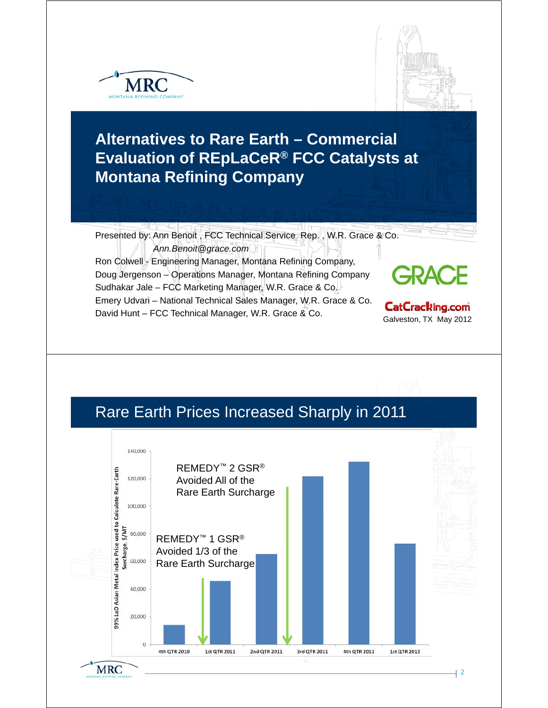



## **Alternatives to Rare Earth – Commercial Evaluation of REpLaCeR® FCC Catalysts at Montana Refining Company**

Presented by: Ann Benoit , FCC Technical Service Rep. , W.R. Grace & Co. *Ann.Benoit@grace.com* 

Ron Colwell - Engineering Manager, Montana Refining Company, Doug Jergenson – Operations Manager, Montana Refining Company Sudhakar Jale – FCC Marketing Manager, W.R. Grace & Co. Emery Udvari – National Technical Sales Manager, W.R. Grace & Co. David Hunt – FCC Technical Manager, W.R. Grace & Co. **CatCracking.com**<br>Galveston, TX May 2012

## Rare Earth Prices Increased Sharply in 2011

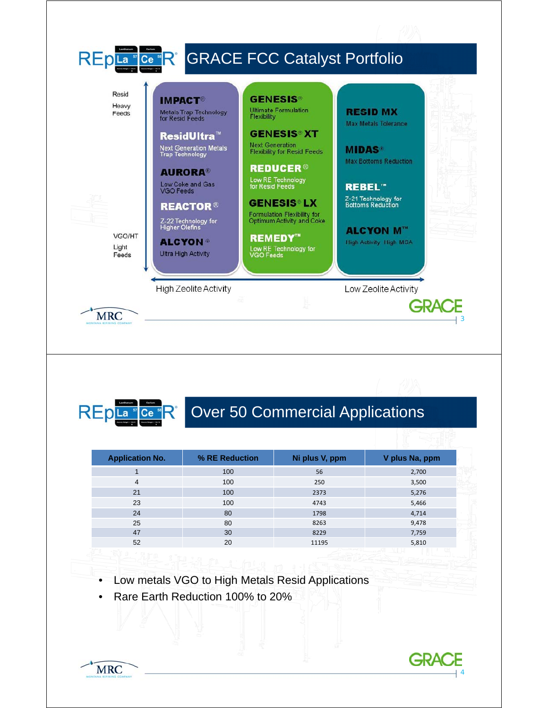



# REpLa "Ce "R" Over 50 Commercial Applications

| <b>Application No.</b> | % RE Reduction | Ni plus V, ppm | V plus Na, ppm |  |
|------------------------|----------------|----------------|----------------|--|
|                        | 100            | 56             | 2,700          |  |
| 4                      | 100            | 250            | 3,500          |  |
| 21                     | 100            | 2373           | 5,276          |  |
| 23                     | 100            | 4743           | 5,466          |  |
| 24                     | 80             | 1798           | 4,714          |  |
| 25                     | 80             | 8263           | 9,478          |  |
| 47                     | 30             | 8229           | 7,759          |  |
| 52                     | 20             | 11195          | 5,810          |  |
| $-100$                 |                |                |                |  |

- Low metals VGO to High Metals Resid Applications
- Rare Earth Reduction 100% to 20%



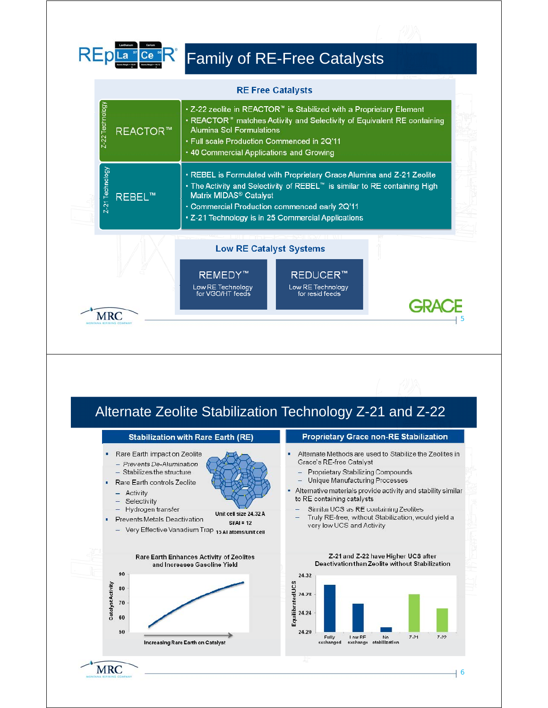| -2 | I |
|----|---|
|    |   |

**MRC** 

# Family of RE-Free Catalysts

|                                                                                                                                                                                                               | <b>RE Free Catalysts</b>                                                                                                                                                                                                                                                                                    |                                                                                                                                                                                                                                                                                                                                                                                         |  |  |
|---------------------------------------------------------------------------------------------------------------------------------------------------------------------------------------------------------------|-------------------------------------------------------------------------------------------------------------------------------------------------------------------------------------------------------------------------------------------------------------------------------------------------------------|-----------------------------------------------------------------------------------------------------------------------------------------------------------------------------------------------------------------------------------------------------------------------------------------------------------------------------------------------------------------------------------------|--|--|
| Z-22 Technology<br><b>REACTOR™</b>                                                                                                                                                                            | • Z-22 zeolite in REACTOR™ is Stabilized with a Proprietary Element<br>. REACTOR <sup>®</sup> matches Activity and Selectivity of Equivalent RE containing<br><b>Alumina Sol Formulations</b><br>. Full scale Production Commenced in 2Q'11<br>• 40 Commercial Applications and Growing                     |                                                                                                                                                                                                                                                                                                                                                                                         |  |  |
| Z-21 Technology<br><b>REBEL™</b>                                                                                                                                                                              | . REBEL is Formulated with Proprietary Grace Alumina and Z-21 Zeolite<br>• The Activity and Selectivity of REBEL <sup>™</sup> is similar to RE containing High<br>Matrix MIDAS <sup>®</sup> Catalyst<br>• Commercial Production commenced early 2Q'11<br>· Z-21 Technology is in 25 Commercial Applications |                                                                                                                                                                                                                                                                                                                                                                                         |  |  |
| <b>Low RE Catalyst Systems</b><br><b>REMEDY™</b><br><b>REDUCER™</b><br>Low RE Technology<br>Low RE Technology<br>for VGO/HT feeds<br>for resid feeds                                                          |                                                                                                                                                                                                                                                                                                             |                                                                                                                                                                                                                                                                                                                                                                                         |  |  |
| <b>MRC</b>                                                                                                                                                                                                    |                                                                                                                                                                                                                                                                                                             | <b>GRA</b>                                                                                                                                                                                                                                                                                                                                                                              |  |  |
|                                                                                                                                                                                                               |                                                                                                                                                                                                                                                                                                             |                                                                                                                                                                                                                                                                                                                                                                                         |  |  |
|                                                                                                                                                                                                               |                                                                                                                                                                                                                                                                                                             | Alternate Zeolite Stabilization Technology Z-21 and Z-22                                                                                                                                                                                                                                                                                                                                |  |  |
|                                                                                                                                                                                                               | <b>Stabilization with Rare Earth (RE)</b>                                                                                                                                                                                                                                                                   | <b>Proprietary Grace non-RE Stabilization</b>                                                                                                                                                                                                                                                                                                                                           |  |  |
| Rare Earth impact on Zeolite<br>- Prevents De-Alumination<br>- Stabilizes the structure<br>Rare Earth controls Zeolite<br>Activity<br>Selectivity<br>Hydrogen transfer<br><b>Prevents Metals Deactivation</b> | Unit cell size 24.32 A<br>$Si/Al = 12$<br>Very Effective Vanadium Trap 15 Al atoms/unit cell                                                                                                                                                                                                                | Alternate Methods are used to Stabilize the Zeolites in<br>Grace's RE-free Catalyst<br>- Proprietary Stabilizing Compounds<br>Unique Manufacturing Processes<br>Alternative materials provide activity and stability similar<br>to RE containing catalysts<br>Similar UCS as RE containing Zeolites<br>Truly RE-free, without Stabilization, would yield a<br>very low UCS and Activity |  |  |
|                                                                                                                                                                                                               | Rare Earth Enhances Activity of Zeolites<br>and Increases Gasoline Yield                                                                                                                                                                                                                                    | Z-21 and Z-22 have Higher UCS after<br>Deactivation than Zeolite without Stabilization                                                                                                                                                                                                                                                                                                  |  |  |

6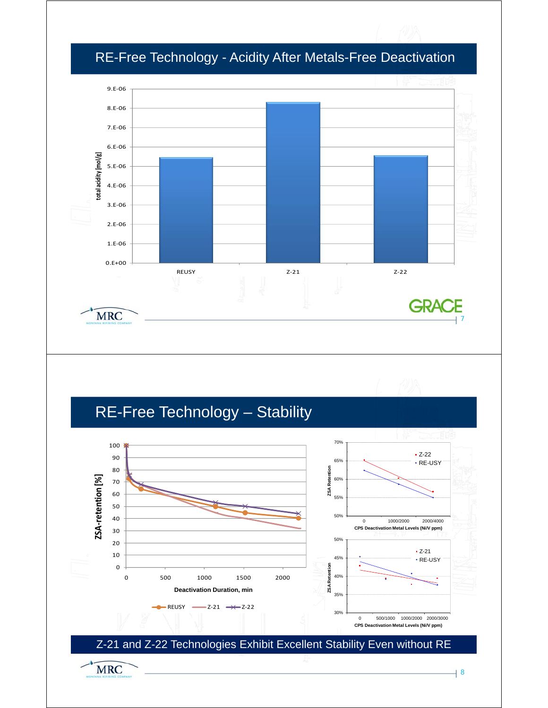

#### RE-Free Technology - Acidity After Metals-Free Deactivation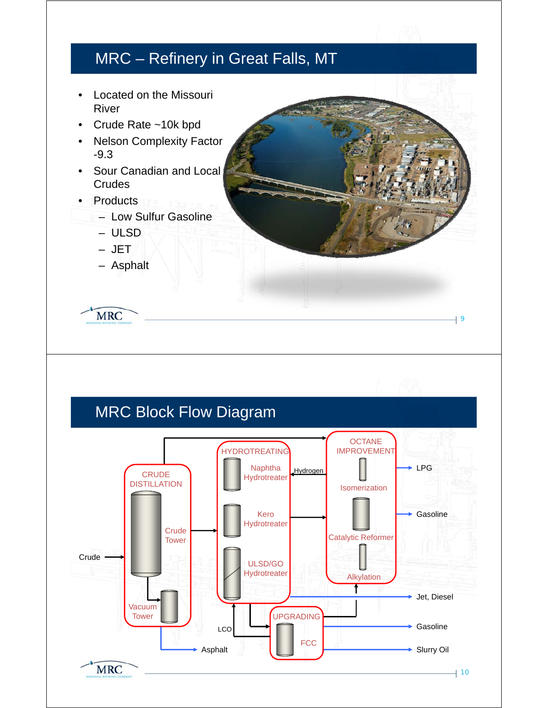#### MRC – Refinery in Great Falls, MT

- Located on the Missouri River
- Crude Rate ~10k bpd
- Nelson Complexity Factor  $-9.3$
- Sour Canadian and Local **Crudes**
- Products
	- Low Sulfur Gasoline
		- ULSD
		- JET
		- Asphalt

**MRC** 

#### MRC Block Flow Diagram **OCTANE HYDROTREATING** IMPROVEMENT Naphtha  $Hvdronen$   $||$   $\longrightarrow$  LPG Hydrogen **CRUDE** Hydrotreater DISTILLATION Isomerization Gasoline Kero **Hydrotreater Crude** Catalytic Reformer **Tower Crude** ULSD/GO **Hydrotreater** Alkylation t Jet, Diesel Vacuum Tower UPGRADING Gasoline  $LC$ **FCC** Asphalt  $\begin{array}{|c|c|c|c|c|c|}\n\hline\n\multicolumn{1}{|c|}{\text{Asphalt}} & \multicolumn{1}{|c|}{\text{Slurry Oil}}\n\end{array}$ **MRC**  $|10$

9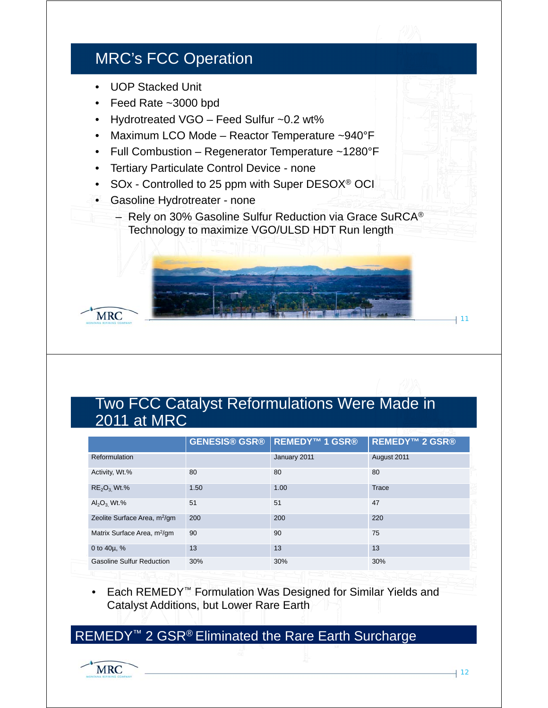#### MRC's FCC Operation

- UOP Stacked Unit
- Feed Rate ~3000 bpd
- Hydrotreated VGO Feed Sulfur ~0.2 wt%
- Maximum LCO Mode Reactor Temperature ~940°F
- Full Combustion Regenerator Temperature ~1280°F
- Tertiary Particulate Control Device none
- SOx Controlled to 25 ppm with Super DESOX® OCI
- Gasoline Hydrotreater none
	- Rely on 30% Gasoline Sulfur Reduction via Grace SuRCA® Technology to maximize VGO/ULSD HDT Run length



#### Two FCC Catalyst Reformulations Were Made in 2011 at MRC

|                                          | <b>GENESIS® GSR®</b> | <b>REMEDY™1 GSR®</b> | <b>REMEDY™ 2 GSR®</b> |
|------------------------------------------|----------------------|----------------------|-----------------------|
| Reformulation                            |                      | January 2011         | August 2011           |
| Activity, Wt.%                           | 80                   | 80                   | 80                    |
| $RE2O3 Wt.$ %                            | 1.50                 | 1.00                 | <b>Trace</b>          |
| $\text{Al}_2\text{O}_3$ , Wt.%           | 51                   | 51                   | 47                    |
| Zeolite Surface Area, m <sup>2</sup> /gm | 200                  | 200                  | 220                   |
| Matrix Surface Area, m <sup>2</sup> /gm  | 90                   | 90                   | 75                    |
| 0 to $40\mu$ , %                         | 13                   | 13                   | 13                    |
| <b>Gasoline Sulfur Reduction</b>         | 30%                  | 30%                  | 30%                   |

• Each REMEDY<sup>™</sup> Formulation Was Designed for Similar Yields and Catalyst Additions, but Lower Rare Earth

REMEDY<sup>™</sup> 2 GSR<sup>®</sup> Eliminated the Rare Earth Surcharge

11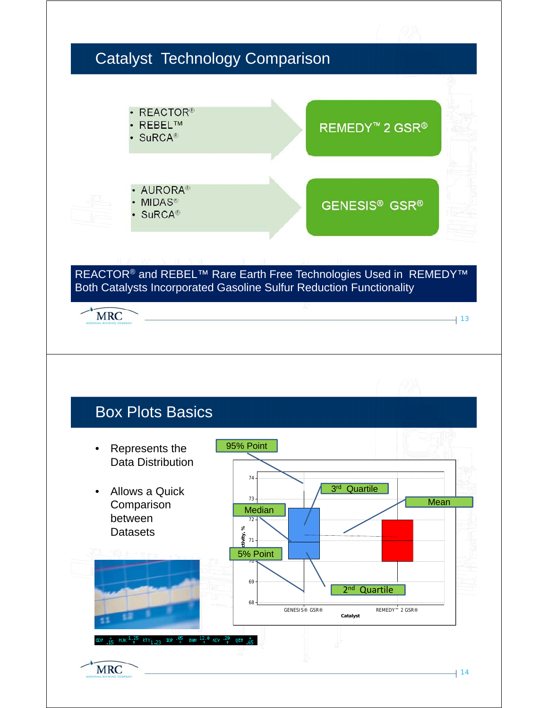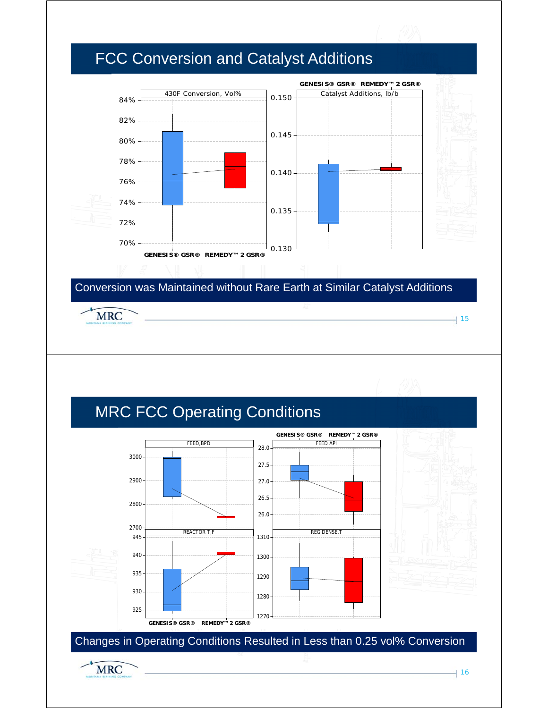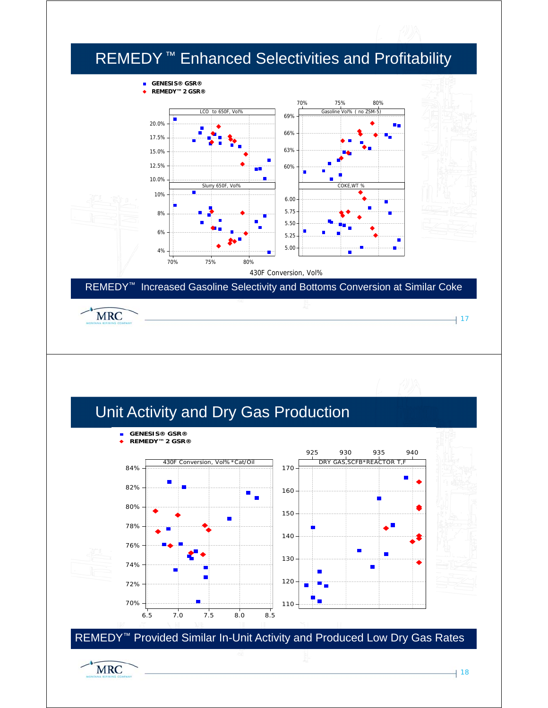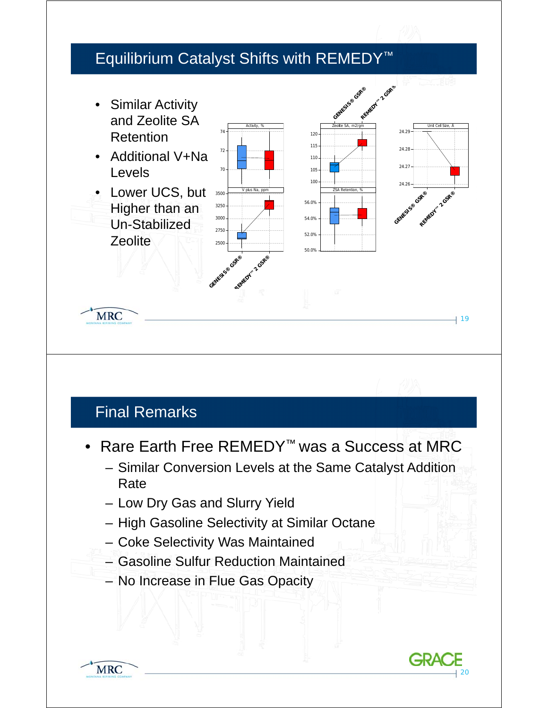

## Final Remarks

**MRC** 

- Rare Earth Free REMEDY™ was a Success at MRC
	- Similar Conversion Levels at the Same Catalyst Addition Rate
	- Low Dry Gas and Slurry Yield
	- High Gasoline Selectivity at Similar Octane
	- Coke Selectivity Was Maintained
	- Gasoline Sulfur Reduction Maintained
	- No Increase in Flue Gas Opacity